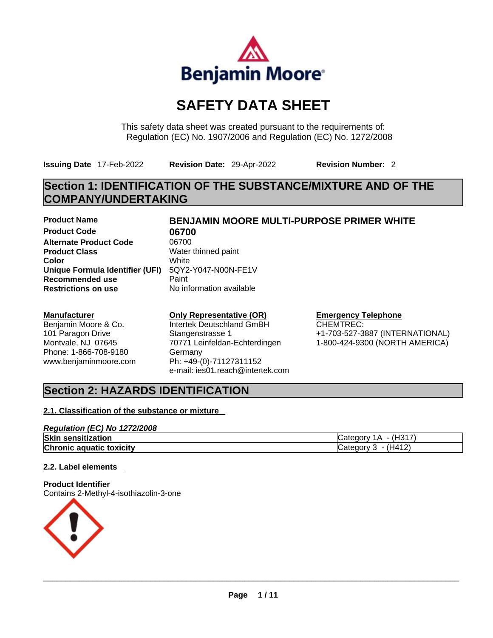

# **SAFETY DATA SHEET**

This safety data sheet was created pursuant to the requirements of: Regulation (EC) No. 1907/2006 and Regulation (EC) No. 1272/2008

**Issuing Date** 17-Feb-2022 **Revision Date:** 29-Apr-2022 **Revision Number:** 2

## **Section 1: IDENTIFICATION OF THE SUBSTANCE/MIXTURE AND OF THE COMPANY/UNDERTAKING**

**Product Code 06700 Alternate Product Code** 06700 **Product Class Water thinned paint Color** White **Unique Formula Identifier (UFI)** 5QY2-Y047-N00N-FE1V **Recommended use Paint Paint Paint Restrictions on use Paint Paint** 

#### **Manufacturer**

Benjamin Moore & Co. 101 Paragon Drive Montvale, NJ 07645 Phone: 1-866-708-9180 www.benjaminmoore.com

# **Product Name BENJAMIN MOORE MULTI-PURPOSE PRIMER WHITE**

**Restrictions on use** No information available

#### **Only Representative (OR)**

Intertek Deutschland GmBH Stangenstrasse 1 70771 Leinfeldan-Echterdingen **Germanv** Ph: +49-(0)-71127311152 e-mail: ies01.reach@intertek.com

#### **Emergency Telephone**

CHEMTREC: +1-703-527-3887 (INTERNATIONAL) 1-800-424-9300 (NORTH AMERICA)

### **Section 2: HAZARDS IDENTIFICATION**

### **2.1. Classification of the substance or mixture**

#### *Regulation (EC) No 1272/2008*

| Skin<br>sensitization           | (H317<br>ימ†ר<br>A<br>אומר<br>icated |
|---------------------------------|--------------------------------------|
| <b>Chronic aquatic toxicity</b> | H412<br>ategory<br>- Guttu           |

#### **2.2. Label elements**

#### **Product Identifier**

Contains 2-Methyl-4-isothiazolin-3-one

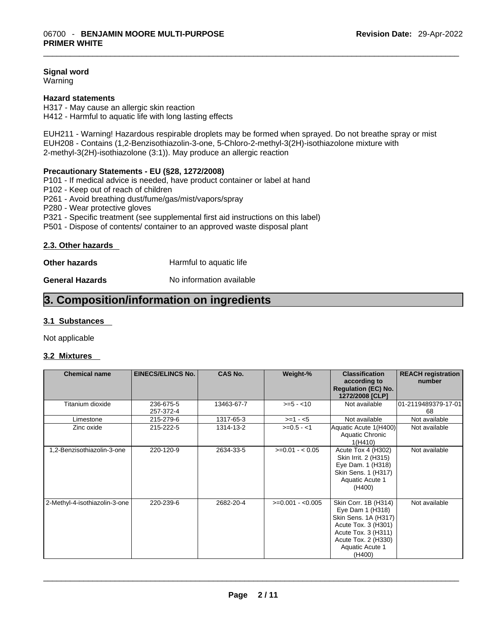#### **Signal word**

**Warning** 

#### **Hazard statements**

H317 - May cause an allergic skin reaction H412 - Harmful to aquatic life with long lasting effects

EUH211 - Warning! Hazardous respirable droplets may be formed when sprayed. Do not breathe spray or mist EUH208 - Contains (1,2-Benzisothiazolin-3-one, 5-Chloro-2-methyl-3(2H)-isothiazolone mixture with 2-methyl-3(2H)-isothiazolone (3:1)). May produce an allergic reaction

#### **Precautionary Statements - EU (§28, 1272/2008)**

P101 - If medical advice is needed, have product container or label at hand

- P102 Keep out of reach of children
- P261 Avoid breathing dust/fume/gas/mist/vapors/spray
- P280 Wear protective gloves
- P321 Specific treatment (see supplemental first aid instructions on this label)
- P501 Dispose of contents/ container to an approved waste disposal plant

#### **2.3. Other hazards**

**Other hazards Harmful to aquatic life** 

**General Hazards No information available** 

### **3. Composition/information on ingredients**

#### **3.1 Substances**

Not applicable

#### **3.2 Mixtures**

| <b>Chemical name</b>          | <b>EINECS/ELINCS No.</b> | <b>CAS No.</b> | Weight-%          | <b>Classification</b><br>according to<br><b>Regulation (EC) No.</b><br>1272/2008 [CLP]                                                                             | <b>REACH registration</b><br>number |
|-------------------------------|--------------------------|----------------|-------------------|--------------------------------------------------------------------------------------------------------------------------------------------------------------------|-------------------------------------|
| Titanium dioxide              | 236-675-5<br>257-372-4   | 13463-67-7     | $>= 5 - 10$       | Not available                                                                                                                                                      | 01-2119489379-17-01<br>68           |
| Limestone                     | 215-279-6                | 1317-65-3      | $>=1 - 5$         | Not available                                                                                                                                                      | Not available                       |
| Zinc oxide                    | 215-222-5                | 1314-13-2      | $>=0.5 - 1$       | Aquatic Acute 1(H400)<br>Aquatic Chronic<br>1(H410)                                                                                                                | Not available                       |
| 1,2-Benzisothiazolin-3-one    | 220-120-9                | 2634-33-5      | $>=0.01 - 0.05$   | Acute Tox 4 (H302)<br>Skin Irrit. 2 (H315)<br>Eye Dam. 1 (H318)<br>Skin Sens. 1 (H317)<br>Aquatic Acute 1<br>(H400)                                                | Not available                       |
| 2-Methyl-4-isothiazolin-3-one | 220-239-6                | 2682-20-4      | $>=0.001 - 0.005$ | Skin Corr. 1B (H314)<br>Eye Dam 1 (H318)<br>Skin Sens. 1A (H317)<br>Acute Tox. 3 (H301)<br>Acute Tox. 3 (H311)<br>Acute Tox. 2 (H330)<br>Aquatic Acute 1<br>(H400) | Not available                       |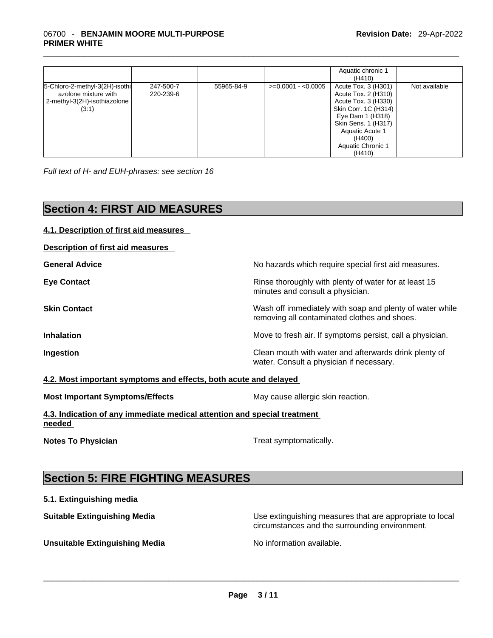#### \_\_\_\_\_\_\_\_\_\_\_\_\_\_\_\_\_\_\_\_\_\_\_\_\_\_\_\_\_\_\_\_\_\_\_\_\_\_\_\_\_\_\_\_\_\_\_\_\_\_\_\_\_\_\_\_\_\_\_\_\_\_\_\_\_\_\_\_\_\_\_\_\_\_\_\_\_\_\_\_\_\_\_\_\_\_\_\_\_\_\_\_\_ 06700 - **BENJAMIN MOORE MULTI-PURPOSE PRIMER WHITE**

|                                                                                                     |                        |            |                     | Aquatic chronic 1<br>(H410)                                                                                                                                                                             |               |
|-----------------------------------------------------------------------------------------------------|------------------------|------------|---------------------|---------------------------------------------------------------------------------------------------------------------------------------------------------------------------------------------------------|---------------|
| 5-Chloro-2-methyl-3(2H)-isothi<br>azolone mixture with<br>  2-methyl-3(2H)-isothiazolone  <br>(3:1) | 247-500-7<br>220-239-6 | 55965-84-9 | $>=0.0001 - 0.0005$ | Acute Tox. 3 (H301)<br>Acute Tox. 2 (H310)<br>Acute Tox. 3 (H330)<br>Skin Corr. 1C (H314)<br>Eye Dam 1 (H318)<br>Skin Sens. 1 (H317)<br><b>Aquatic Acute 1</b><br>(H400)<br>Aquatic Chronic 1<br>(H410) | Not available |

*Full text of H- and EUH-phrases: see section 16* 

## **Section 4: FIRST AID MEASURES**

**4.1. Description of first aid measures** 

| Description of first aid measures                                                  |                                                                                                          |
|------------------------------------------------------------------------------------|----------------------------------------------------------------------------------------------------------|
| <b>General Advice</b>                                                              | No hazards which require special first aid measures.                                                     |
| <b>Eye Contact</b>                                                                 | Rinse thoroughly with plenty of water for at least 15<br>minutes and consult a physician.                |
| <b>Skin Contact</b>                                                                | Wash off immediately with soap and plenty of water while<br>removing all contaminated clothes and shoes. |
| <b>Inhalation</b>                                                                  | Move to fresh air. If symptoms persist, call a physician.                                                |
| Ingestion                                                                          | Clean mouth with water and afterwards drink plenty of<br>water. Consult a physician if necessary.        |
| 4.2. Most important symptoms and effects, both acute and delayed                   |                                                                                                          |
| <b>Most Important Symptoms/Effects</b>                                             | May cause allergic skin reaction.                                                                        |
| 4.3. Indication of any immediate medical attention and special treatment<br>needed |                                                                                                          |
| <b>Notes To Physician</b>                                                          | Treat symptomatically.                                                                                   |
| <b>Section 5: FIRE FIGHTING MEASURES</b>                                           |                                                                                                          |
| 5.1. Extinguishing media                                                           |                                                                                                          |
| <b>Suitable Extinguishing Media</b>                                                | Use extinguishing measures that are appropriate to local                                                 |

circumstances and the surrounding environment.

**Unsuitable Extinguishing Media** No information available. \_\_\_\_\_\_\_\_\_\_\_\_\_\_\_\_\_\_\_\_\_\_\_\_\_\_\_\_\_\_\_\_\_\_\_\_\_\_\_\_\_\_\_\_\_\_\_\_\_\_\_\_\_\_\_\_\_\_\_\_\_\_\_\_\_\_\_\_\_\_\_\_\_\_\_\_\_\_\_\_\_\_\_\_\_\_\_\_\_\_\_\_\_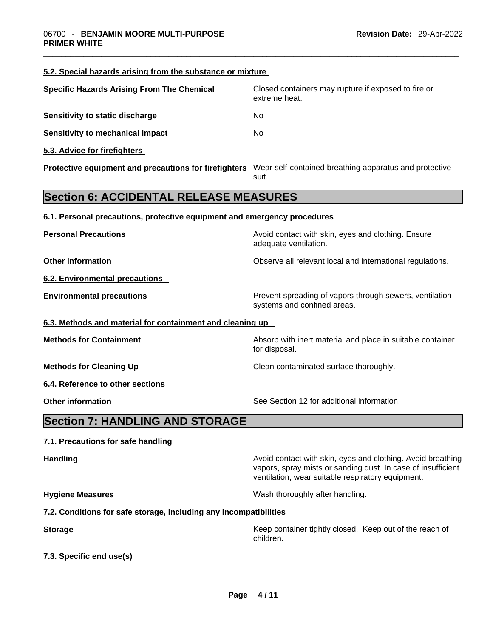**5.2. Special hazards arising from the substance or mixture**

|                                                                                                              | extreme heat.                                                                                                                                                                    |
|--------------------------------------------------------------------------------------------------------------|----------------------------------------------------------------------------------------------------------------------------------------------------------------------------------|
| Sensitivity to static discharge                                                                              | No                                                                                                                                                                               |
| <b>Sensitivity to mechanical impact</b>                                                                      | No                                                                                                                                                                               |
| 5.3. Advice for firefighters                                                                                 |                                                                                                                                                                                  |
| Protective equipment and precautions for firefighters Wear self-contained breathing apparatus and protective | suit.                                                                                                                                                                            |
| <b>Section 6: ACCIDENTAL RELEASE MEASURES</b>                                                                |                                                                                                                                                                                  |
| 6.1. Personal precautions, protective equipment and emergency procedures                                     |                                                                                                                                                                                  |
| <b>Personal Precautions</b>                                                                                  | Avoid contact with skin, eyes and clothing. Ensure<br>adequate ventilation.                                                                                                      |
| <b>Other Information</b>                                                                                     | Observe all relevant local and international regulations.                                                                                                                        |
| 6.2. Environmental precautions                                                                               |                                                                                                                                                                                  |
| <b>Environmental precautions</b>                                                                             | Prevent spreading of vapors through sewers, ventilation<br>systems and confined areas.                                                                                           |
| 6.3. Methods and material for containment and cleaning up                                                    |                                                                                                                                                                                  |
| <b>Methods for Containment</b>                                                                               | Absorb with inert material and place in suitable container<br>for disposal.                                                                                                      |
| <b>Methods for Cleaning Up</b>                                                                               | Clean contaminated surface thoroughly.                                                                                                                                           |
| 6.4. Reference to other sections                                                                             |                                                                                                                                                                                  |
| <b>Other information</b>                                                                                     | See Section 12 for additional information.                                                                                                                                       |
| <b>Section 7: HANDLING AND STORAGE</b>                                                                       |                                                                                                                                                                                  |
| 7.1. Precautions for safe handling                                                                           |                                                                                                                                                                                  |
| Handling                                                                                                     | Avoid contact with skin, eyes and clothing. Avoid breathing<br>vapors, spray mists or sanding dust. In case of insufficient<br>ventilation, wear suitable respiratory equipment. |
| <b>Hygiene Measures</b>                                                                                      | Wash thoroughly after handling.                                                                                                                                                  |
| 7.2. Conditions for safe storage, including any incompatibilities                                            |                                                                                                                                                                                  |
| <b>Storage</b>                                                                                               | Keep container tightly closed. Keep out of the reach of<br>children.                                                                                                             |
| 7.3. Specific end use(s)                                                                                     |                                                                                                                                                                                  |

**Specific Hazards Arising From The Chemical Closed containers may rupture if exposed to fire or**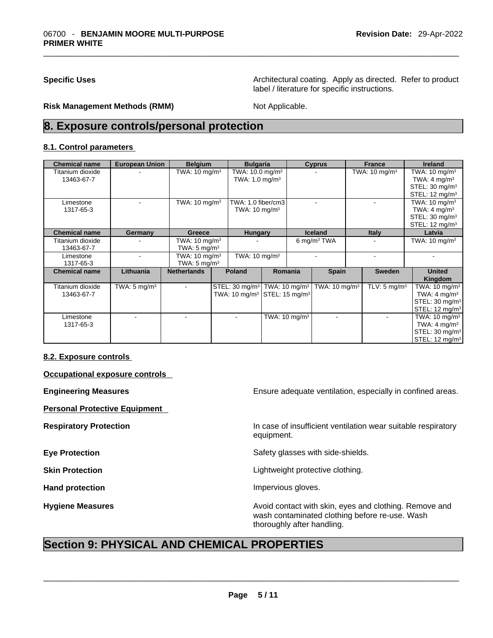**Specific Uses Architectural coating. Apply as directed. Refer to product** label / literature for specific instructions.

**Risk Management Methods (RMM)** Not Applicable.

### **8. Exposure controls/personal protection**

#### **8.1. Control parameters**

| <b>Chemical name</b> | <b>European Union</b>   | <b>Belgium</b>           | <b>Bulgaria</b>                                        |                          | <b>Cyprus</b>            | <b>France</b>            | <b>Ireland</b>             |
|----------------------|-------------------------|--------------------------|--------------------------------------------------------|--------------------------|--------------------------|--------------------------|----------------------------|
| Titanium dioxide     |                         | TWA: $10 \text{ mg/m}^3$ | TWA: 10.0 mg/m <sup>3</sup>                            |                          |                          | TWA: $10 \text{ mg/m}^3$ | TWA: $10 \text{ mg/m}^3$   |
| 13463-67-7           |                         |                          | TWA: $1.0 \text{ mg/m}^3$                              |                          |                          |                          | TWA: $4 \text{ mg/m}^3$    |
|                      |                         |                          |                                                        |                          |                          |                          | STEL: 30 mg/m <sup>3</sup> |
|                      |                         |                          |                                                        |                          |                          |                          | STEL: $12 \text{ mg/m}^3$  |
| Limestone            |                         | TWA: $10 \text{ mg/m}^3$ | TWA: 1.0 fiber/cm3                                     |                          |                          |                          | TWA: $10 \text{ mg/m}^3$   |
| 1317-65-3            |                         |                          | TWA: $10 \text{ mg/m}^3$                               |                          |                          |                          | TWA: $4 \text{ mg/m}^3$    |
|                      |                         |                          |                                                        |                          |                          |                          | STEL: 30 mg/m <sup>3</sup> |
|                      |                         |                          |                                                        |                          |                          |                          | STEL: $12 \text{ mq/m}^3$  |
| <b>Chemical name</b> | Germany                 | Greece                   | <b>Hungary</b>                                         |                          | <b>Iceland</b>           | <b>Italy</b>             | Latvia                     |
| Titanium dioxide     |                         | TWA: $10 \text{ mg/m}^3$ |                                                        |                          | 6 mg/m $3$ TWA           |                          | TWA: $10 \text{ mg/m}^3$   |
| 13463-67-7           |                         | TWA: $5 \text{ mg/m}^3$  |                                                        |                          |                          |                          |                            |
| Limestone            |                         | TWA: $10 \text{ mg/m}^3$ | TWA: $10 \text{ mg/m}^3$                               |                          |                          |                          |                            |
| 1317-65-3            |                         | TWA: $5 \text{ mg/m}^3$  |                                                        |                          |                          |                          |                            |
| <b>Chemical name</b> | Lithuania               | <b>Netherlands</b>       | <b>Poland</b>                                          | Romania                  | <b>Spain</b>             | <b>Sweden</b>            | <b>United</b>              |
|                      |                         |                          |                                                        |                          |                          |                          | Kingdom                    |
| Titanium dioxide     | TWA: $5 \text{ mg/m}^3$ |                          | STEL: 30 mg/m <sup>3</sup>   TWA: 10 mg/m <sup>3</sup> |                          | TWA: $10 \text{ mg/m}^3$ | TLV: $5 \text{ mg/m}^3$  | TWA: $10 \text{ mg/m}^3$   |
| 13463-67-7           |                         |                          | TWA: $10 \text{ mg/m}^3$ STEL: $15 \text{ mg/m}^3$     |                          |                          |                          | TWA: $4 \text{ mg/m}^3$    |
|                      |                         |                          |                                                        |                          |                          |                          | STEL: 30 mg/m <sup>3</sup> |
|                      |                         |                          |                                                        |                          |                          |                          | STEL: $12 \text{ mg/m}^3$  |
| Limestone            |                         |                          | $\sim$                                                 | TWA: $10 \text{ mg/m}^3$ |                          |                          | TWA: $10 \text{ mg/m}^3$   |
| 1317-65-3            |                         |                          |                                                        |                          |                          |                          | TWA: $4 \text{ mg/m}^3$    |
|                      |                         |                          |                                                        |                          |                          |                          | STEL: 30 mg/m <sup>3</sup> |
|                      |                         |                          |                                                        |                          |                          |                          | STEL: 12 mg/m <sup>3</sup> |

#### **8.2. Exposure controls**

**Occupational exposure controls** 

**Personal Protective Equipment** 

**Engineering Measures Ensure 2018** Ensure adequate ventilation, especially in confined areas.

**Respiratory Protection In case of insufficient ventilation wear suitable respiratory** equipment.

**Eye Protection Exercise 2 Safety glasses with side-shields.** 

**Skin Protection Contract Contract Contract Contract Contract Contract Contract Contract Contract Contract Contract Contract Contract Contract Contract Contract Contract Contract Contract Contract Contract Contract Contr** 

Hand protection **Impervious** gloves.

**Hygiene Measures Avoid contact with skin, eyes and clothing. Remove and Hygiene Measures** and clothing. Remove and wash contaminated clothing before re-use. Wash thoroughly after handling.

### **Section 9: PHYSICAL AND CHEMICAL PROPERTIES**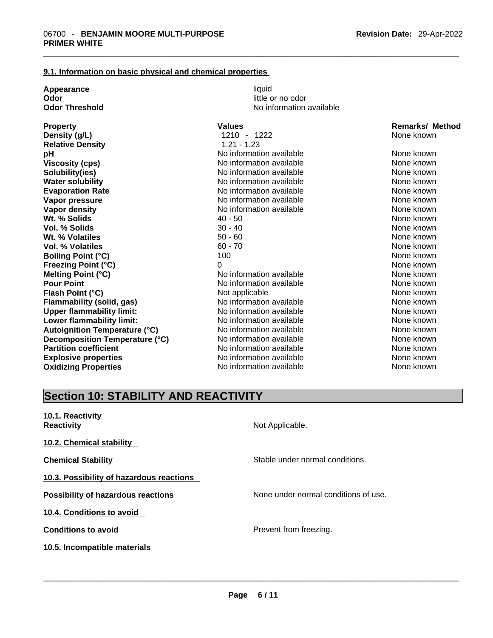#### **9.1. Information on basic physical and chemical properties**

| Appearance                           | liquid                   |                        |
|--------------------------------------|--------------------------|------------------------|
| Odor                                 | little or no odor        |                        |
| <b>Odor Threshold</b>                | No information available |                        |
| <b>Property</b>                      | <b>Values</b>            | <b>Remarks/ Method</b> |
| Density (g/L)                        | 1210 - 1222              | None known             |
| <b>Relative Density</b>              | $1.21 - 1.23$            |                        |
| pH                                   | No information available | None known             |
| <b>Viscosity (cps)</b>               | No information available | None known             |
| Solubility(ies)                      | No information available | None known             |
| <b>Water solubility</b>              | No information available | None known             |
| <b>Evaporation Rate</b>              | No information available | None known             |
| Vapor pressure                       | No information available | None known             |
| Vapor density                        | No information available | None known             |
| Wt. % Solids                         | $40 - 50$                | None known             |
| <b>Vol. % Solids</b>                 | $30 - 40$                | None known             |
| Wt. % Volatiles                      | $50 - 60$                | None known             |
| Vol. % Volatiles                     | $60 - 70$                | None known             |
| <b>Boiling Point (°C)</b>            | 100                      | None known             |
| <b>Freezing Point (°C)</b>           | O                        | None known             |
| Melting Point (°C)                   | No information available | None known             |
| <b>Pour Point</b>                    | No information available | None known             |
| Flash Point (°C)                     | Not applicable           | None known             |
| <b>Flammability (solid, gas)</b>     | No information available | None known             |
| <b>Upper flammability limit:</b>     | No information available | None known             |
| Lower flammability limit:            | No information available | None known             |
| <b>Autoignition Temperature (°C)</b> | No information available | None known             |
| Decomposition Temperature (°C)       | No information available | None known             |
| <b>Partition coefficient</b>         | No information available | None known             |
| <b>Explosive properties</b>          | No information available | None known             |
| <b>Oxidizing Properties</b>          | No information available | None known             |

## **Section 10: STABILITY AND REACTIVITY**

| 10.1. Reactivity<br><b>Reactivity</b>     | Not Applicable.                      |
|-------------------------------------------|--------------------------------------|
| 10.2. Chemical stability                  |                                      |
| <b>Chemical Stability</b>                 | Stable under normal conditions.      |
| 10.3. Possibility of hazardous reactions  |                                      |
| <b>Possibility of hazardous reactions</b> | None under normal conditions of use. |
| 10.4. Conditions to avoid                 |                                      |
| <b>Conditions to avoid</b>                | Prevent from freezing.               |
| 10.5. Incompatible materials              |                                      |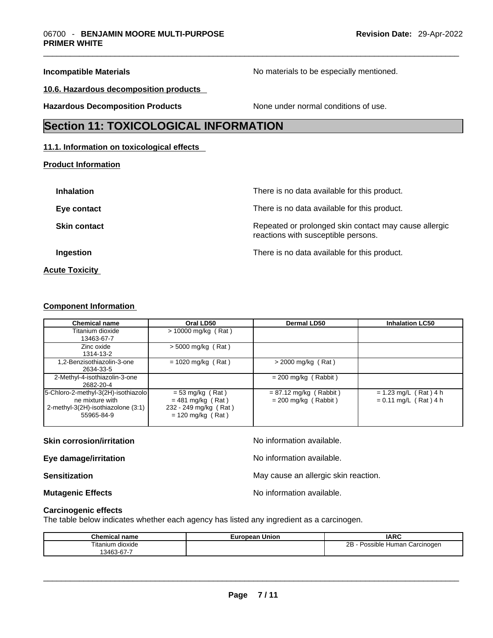**Incompatible Materials Incompatible Materials Materials No materials to be especially mentioned.** 

**10.6. Hazardous decomposition products** 

**Hazardous Decomposition Products** None under normal conditions of use.

### **Section 11: TOXICOLOGICAL INFORMATION**

#### **11.1. Information on toxicological effects**

**Product Information**

| <b>Inhalation</b>     | There is no data available for this product.                                                 |
|-----------------------|----------------------------------------------------------------------------------------------|
| Eye contact           | There is no data available for this product.                                                 |
| <b>Skin contact</b>   | Repeated or prolonged skin contact may cause allergic<br>reactions with susceptible persons. |
| Ingestion             | There is no data available for this product.                                                 |
| <b>Acute Toxicity</b> |                                                                                              |

#### **Component Information**

| <b>Chemical name</b>                                                                                       | Oral LD50                                                                                 | <b>Dermal LD50</b>                                 | <b>Inhalation LC50</b>                             |
|------------------------------------------------------------------------------------------------------------|-------------------------------------------------------------------------------------------|----------------------------------------------------|----------------------------------------------------|
| Titanium dioxide<br>13463-67-7                                                                             | $> 10000$ mg/kg (Rat)                                                                     |                                                    |                                                    |
| Zinc oxide<br>1314-13-2                                                                                    | $> 5000$ mg/kg (Rat)                                                                      |                                                    |                                                    |
| 1,2-Benzisothiazolin-3-one<br>2634-33-5                                                                    | $= 1020$ mg/kg (Rat)                                                                      | $>$ 2000 mg/kg (Rat)                               |                                                    |
| 2-Methyl-4-isothiazolin-3-one<br>2682-20-4                                                                 |                                                                                           | $= 200$ mg/kg (Rabbit)                             |                                                    |
| 5-Chloro-2-methyl-3(2H)-isothiazolo<br>ne mixture with<br>2-methyl-3(2H)-isothiazolone (3:1)<br>55965-84-9 | $= 53$ mg/kg (Rat)<br>$= 481$ mg/kg (Rat)<br>232 - 249 mg/kg (Rat)<br>$= 120$ mg/kg (Rat) | $= 87.12$ mg/kg (Rabbit)<br>$= 200$ mg/kg (Rabbit) | $= 1.23$ mg/L (Rat) 4 h<br>$= 0.11$ mg/L (Rat) 4 h |

#### **Skin corrosion/irritation** No information available.

**Eye damage/irritation No information available.** 

**Sensitization Sensitization May cause an allergic skin reaction.** 

**Mutagenic Effects Mutagenic Effects No information available.** 

**Carcinogenic effects**

The table below indicates whether each agency has listed any ingredient as a carcinogen.

| <b>Chemical name</b>              | - -<br>Union<br>max <sub>n</sub><br>еан<br>–ur | <b>IARC</b>                             |
|-----------------------------------|------------------------------------------------|-----------------------------------------|
| $- \cdot$ .<br>dioxide<br>itanium |                                                | 2В<br>Carcinogen<br>, Humar<br>Possible |
| $3463-67$                         |                                                |                                         |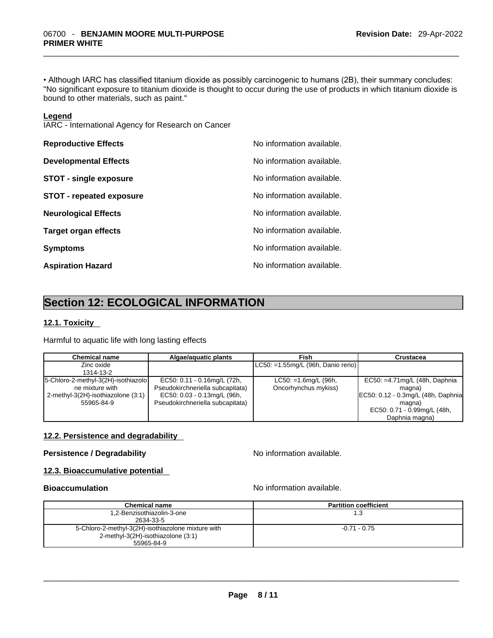• Although IARC has classified titanium dioxide as possibly carcinogenic to humans (2B), their summary concludes: "No significant exposure to titanium dioxide is thought to occur during the use of products in which titanium dioxide is bound to other materials, such as paint."

#### **Legend**

IARC - International Agency for Research on Cancer

| <b>Reproductive Effects</b>     | No information available. |
|---------------------------------|---------------------------|
| <b>Developmental Effects</b>    | No information available. |
| <b>STOT - single exposure</b>   | No information available. |
| <b>STOT - repeated exposure</b> | No information available. |
| <b>Neurological Effects</b>     | No information available. |
| <b>Target organ effects</b>     | No information available. |
| <b>Symptoms</b>                 | No information available. |
| <b>Aspiration Hazard</b>        | No information available. |

## **Section 12: ECOLOGICAL INFORMATION**

#### **12.1. Toxicity**

Harmful to aquatic life with long lasting effects

| <b>Chemical name</b>                | Algae/aguatic plants             | Fish                                   | <b>Crustacea</b>                    |
|-------------------------------------|----------------------------------|----------------------------------------|-------------------------------------|
| Zinc oxide                          |                                  | $ LCS0: = 1.55mg/L$ (96h, Danio rerio) |                                     |
| 1314-13-2                           |                                  |                                        |                                     |
| 5-Chloro-2-methyl-3(2H)-isothiazolo | EC50: 0.11 - 0.16mg/L (72h,      | $LC50: =1.6$ mg/L $(96h,$              | EC50: $=4.71$ mg/L (48h, Daphnia    |
| ne mixture with                     | Pseudokirchneriella subcapitata) | Oncorhynchus mykiss)                   | magna)                              |
| 2-methyl-3(2H)-isothiazolone (3:1)  | EC50: 0.03 - 0.13mg/L (96h,      |                                        | EC50: 0.12 - 0.3mg/L (48h, Daphnia) |
| 55965-84-9                          | Pseudokirchneriella subcapitata) |                                        | magna)                              |
|                                     |                                  |                                        | EC50: 0.71 - 0.99mg/L (48h,         |
|                                     |                                  |                                        | Daphnia magna)                      |

#### **12.2. Persistence and degradability**

#### **Persistence / Degradability No information available.**

### **12.3. Bioaccumulative potential**

**Bioaccumulation Bioaccumulation Bioaccumulation** 

| <b>Chemical name</b>                               | <b>Partition coefficient</b> |
|----------------------------------------------------|------------------------------|
| 1,2-Benzisothiazolin-3-one                         | 1.3                          |
| 2634-33-5                                          |                              |
| 5-Chloro-2-methyl-3(2H)-isothiazolone mixture with | $-0.71 - 0.75$               |
| 2-methyl-3(2H)-isothiazolone (3:1)                 |                              |
| 55965-84-9                                         |                              |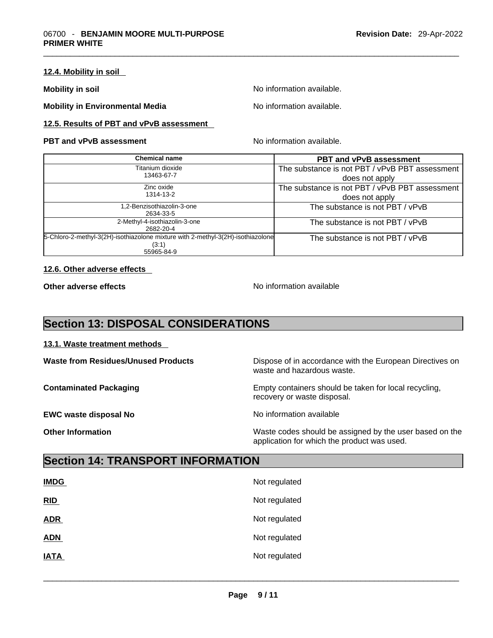#### **12.4. Mobility in soil**

**Mobility in soil Mobility in soil Mobility in soil** 

**Mobility in Environmental Media** Noinformation available.

### **12.5. Results of PBT and vPvB assessment**

#### **PBT** and **vPvB** assessment No information available.

| Chemical name                                                                   | <b>PBT and vPvB assessment</b>                 |
|---------------------------------------------------------------------------------|------------------------------------------------|
| Titanium dioxide                                                                | The substance is not PBT / vPvB PBT assessment |
| 13463-67-7                                                                      | does not apply                                 |
| Zinc oxide                                                                      | The substance is not PBT / vPvB PBT assessment |
| 1314-13-2                                                                       | does not apply                                 |
| .2-Benzisothiazolin-3-one                                                       | The substance is not PBT / vPvB                |
| 2634-33-5                                                                       |                                                |
| 2-Methyl-4-isothiazolin-3-one                                                   | The substance is not PBT / vPvB                |
| 2682-20-4                                                                       |                                                |
| 5-Chloro-2-methyl-3(2H)-isothiazolone mixture with 2-methyl-3(2H)-isothiazolone | The substance is not PBT / vPvB                |
| (3:1)                                                                           |                                                |
| 55965-84-9                                                                      |                                                |

#### **12.6. Other adverse effects**

**Other adverse effects No information available** 

application for which the product was used.

### **Section 13: DISPOSAL CONSIDERATIONS**

#### **13.1. Waste treatment methods**

| <b>Waste from Residues/Unused Products</b> | Dispose of in accordance with the European Directives on<br>waste and hazardous waste. |
|--------------------------------------------|----------------------------------------------------------------------------------------|
| <b>Contaminated Packaging</b>              | Empty containers should be taken for local recycling,<br>recovery or waste disposal.   |
| <b>EWC waste disposal No</b>               | No information available                                                               |
| <b>Other Information</b>                   | Waste codes should be assigned by the user based on the                                |

### **Section 14: TRANSPORT INFORMATION**

| <b>IMDG</b> | Not regulated |
|-------------|---------------|
| RID         | Not regulated |
| <b>ADR</b>  | Not regulated |
| <b>ADN</b>  | Not regulated |
| <b>IATA</b> | Not regulated |
|             |               |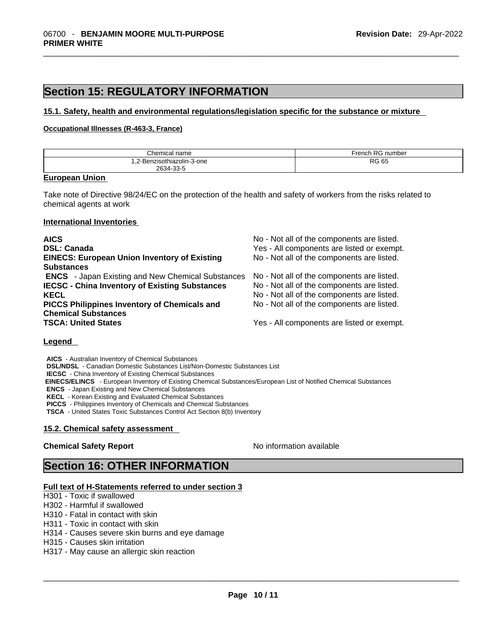### **Section 15: REGULATORY INFORMATION**

#### **15.1. Safety, health and environmental regulations/legislation specific for the substance or mixture**

#### **Occupational Illnesses (R-463-3, France)**

| Chemical<br>name                    | D <sub>C</sub><br>∙rench<br>number |
|-------------------------------------|------------------------------------|
| 1-3-one<br>ווסט׳<br>. <u>.</u>      | <b>RG 65</b>                       |
| $\sim$ $\sim$<br>ົງຊ34⊸.<br>------- |                                    |

#### **European Union**

Take note of Directive 98/24/EC on the protection of the health and safety of workers from the risks related to chemical agents at work

#### **International Inventories**

| <b>AICS</b>                                              | No - Not all of the components are listed. |
|----------------------------------------------------------|--------------------------------------------|
| <b>DSL: Canada</b>                                       | Yes - All components are listed or exempt. |
| <b>EINECS: European Union Inventory of Existing</b>      | No - Not all of the components are listed. |
| <b>Substances</b>                                        |                                            |
| <b>ENCS</b> - Japan Existing and New Chemical Substances | No - Not all of the components are listed. |
| <b>IECSC - China Inventory of Existing Substances</b>    | No - Not all of the components are listed. |
| <b>KECL</b>                                              | No - Not all of the components are listed. |
| <b>PICCS Philippines Inventory of Chemicals and</b>      | No - Not all of the components are listed. |
| <b>Chemical Substances</b>                               |                                            |
| <b>TSCA: United States</b>                               | Yes - All components are listed or exempt. |

#### **Legend**

**AICS** - Australian Inventory of Chemical Substances

**DSL/NDSL** - Canadian Domestic Substances List/Non-Domestic Substances List

**IECSC** - China Inventory of Existing Chemical Substances

 **EINECS/ELINCS** - European Inventory of Existing Chemical Substances/European List of Notified Chemical Substances

**ENCS** - Japan Existing and New Chemical Substances

**KECL** - Korean Existing and Evaluated Chemical Substances

**PICCS** - Philippines Inventory of Chemicals and Chemical Substances

**TSCA** - United States Toxic Substances Control Act Section 8(b) Inventory

#### **15.2. Chemical safety assessment**

#### **Chemical Safety Report Chemical Safety Report No information available**

### **Section 16: OTHER INFORMATION**

#### **Full text of H-Statements referred to under section 3**

H301 - Toxic if swallowed

H302 - Harmful if swallowed

H310 - Fatal in contact with skin

H311 - Toxic in contact with skin

H314 - Causes severe skin burns and eye damage

H315 - Causes skin irritation

H317 - May cause an allergic skin reaction